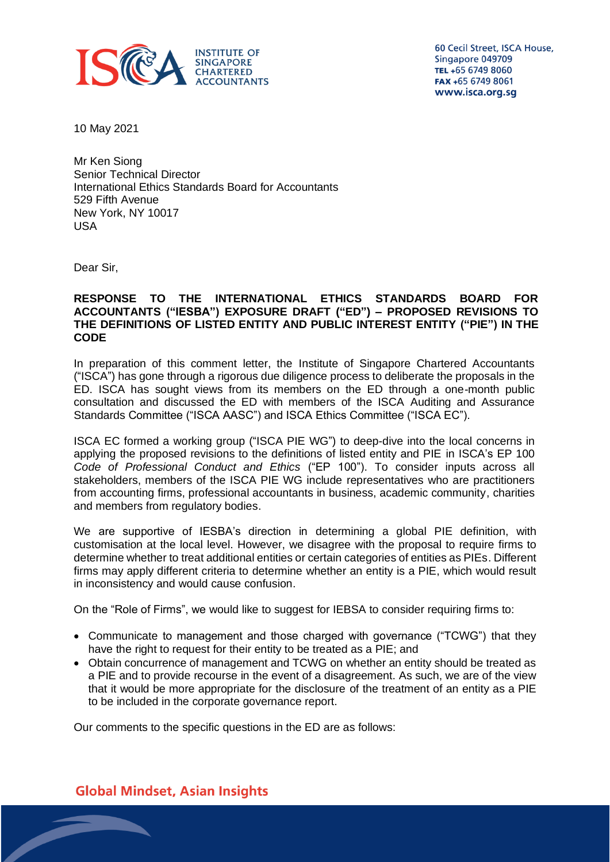

60 Cecil Street, ISCA House, Singapore 049709 TEL +65 6749 8060 FAX +65 6749 8061 www.isca.org.sg

10 May 2021

Mr Ken Siong Senior Technical Director International Ethics Standards Board for Accountants 529 Fifth Avenue New York, NY 10017 USA

Dear Sir,

### **RESPONSE TO THE INTERNATIONAL ETHICS STANDARDS BOARD FOR ACCOUNTANTS ("IESBA") EXPOSURE DRAFT ("ED") – PROPOSED REVISIONS TO THE DEFINITIONS OF LISTED ENTITY AND PUBLIC INTEREST ENTITY ("PIE") IN THE CODE**

In preparation of this comment letter, the Institute of Singapore Chartered Accountants ("ISCA") has gone through a rigorous due diligence process to deliberate the proposals in the ED. ISCA has sought views from its members on the ED through a one-month public consultation and discussed the ED with members of the ISCA Auditing and Assurance Standards Committee ("ISCA AASC") and ISCA Ethics Committee ("ISCA EC").

ISCA EC formed a working group ("ISCA PIE WG") to deep-dive into the local concerns in applying the proposed revisions to the definitions of listed entity and PIE in ISCA's EP 100 *Code of Professional Conduct and Ethics* ("EP 100"). To consider inputs across all stakeholders, members of the ISCA PIE WG include representatives who are practitioners from accounting firms, professional accountants in business, academic community, charities and members from regulatory bodies.

We are supportive of IESBA's direction in determining a global PIE definition, with customisation at the local level. However, we disagree with the proposal to require firms to determine whether to treat additional entities or certain categories of entities as PIEs. Different firms may apply different criteria to determine whether an entity is a PIE, which would result in inconsistency and would cause confusion.

On the "Role of Firms", we would like to suggest for IEBSA to consider requiring firms to:

- Communicate to management and those charged with governance ("TCWG") that they have the right to request for their entity to be treated as a PIE; and
- Obtain concurrence of management and TCWG on whether an entity should be treated as a PIE and to provide recourse in the event of a disagreement. As such, we are of the view that it would be more appropriate for the disclosure of the treatment of an entity as a PIE to be included in the corporate governance report.

Our comments to the specific questions in the ED are as follows:

**Global Mindset, Asian Insights**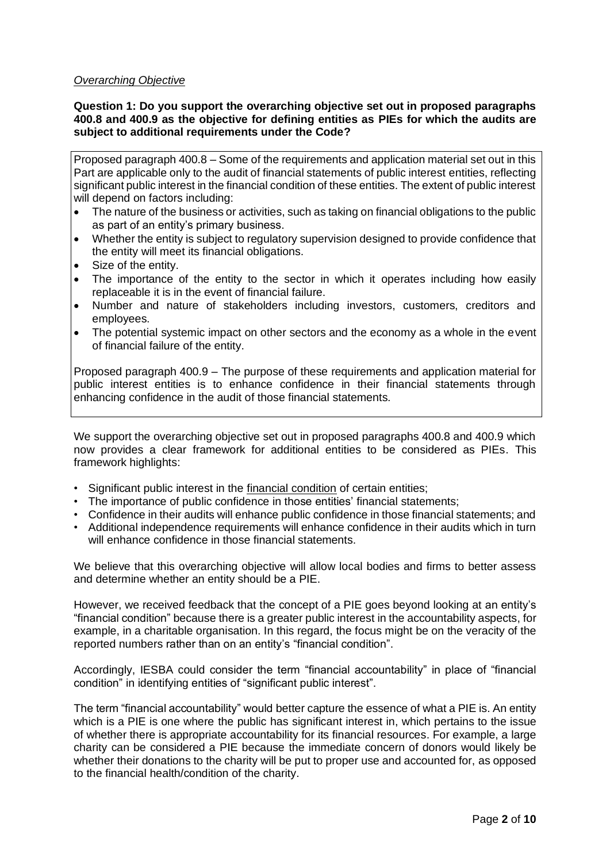# *Overarching Objective*

## **Question 1: Do you support the overarching objective set out in proposed paragraphs 400.8 and 400.9 as the objective for defining entities as PIEs for which the audits are subject to additional requirements under the Code?**

Proposed paragraph 400.8 – Some of the requirements and application material set out in this Part are applicable only to the audit of financial statements of public interest entities, reflecting significant public interest in the financial condition of these entities. The extent of public interest will depend on factors including:

- The nature of the business or activities, such as taking on financial obligations to the public as part of an entity's primary business.
- Whether the entity is subject to regulatory supervision designed to provide confidence that the entity will meet its financial obligations.
- Size of the entity.
- The importance of the entity to the sector in which it operates including how easily replaceable it is in the event of financial failure.
- Number and nature of stakeholders including investors, customers, creditors and employees.
- The potential systemic impact on other sectors and the economy as a whole in the event of financial failure of the entity.

Proposed paragraph 400.9 – The purpose of these requirements and application material for public interest entities is to enhance confidence in their financial statements through enhancing confidence in the audit of those financial statements.

We support the overarching objective set out in proposed paragraphs 400.8 and 400.9 which now provides a clear framework for additional entities to be considered as PIEs. This framework highlights:

- Significant public interest in the financial condition of certain entities;
- The importance of public confidence in those entities' financial statements;
- Confidence in their audits will enhance public confidence in those financial statements; and
- Additional independence requirements will enhance confidence in their audits which in turn will enhance confidence in those financial statements.

We believe that this overarching objective will allow local bodies and firms to better assess and determine whether an entity should be a PIE.

However, we received feedback that the concept of a PIE goes beyond looking at an entity's "financial condition" because there is a greater public interest in the accountability aspects, for example, in a charitable organisation. In this regard, the focus might be on the veracity of the reported numbers rather than on an entity's "financial condition".

Accordingly, IESBA could consider the term "financial accountability" in place of "financial condition" in identifying entities of "significant public interest".

The term "financial accountability" would better capture the essence of what a PIE is. An entity which is a PIE is one where the public has significant interest in, which pertains to the issue of whether there is appropriate accountability for its financial resources. For example, a large charity can be considered a PIE because the immediate concern of donors would likely be whether their donations to the charity will be put to proper use and accounted for, as opposed to the financial health/condition of the charity.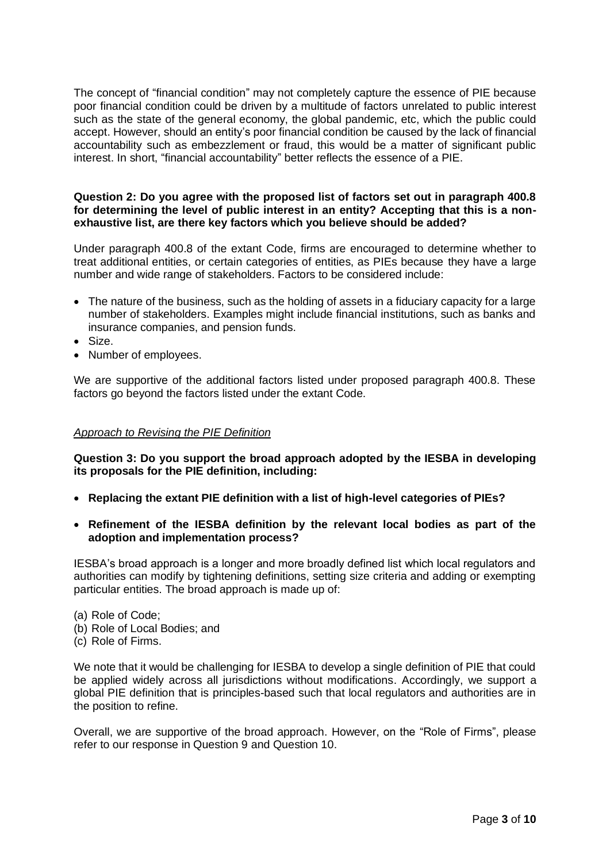The concept of "financial condition" may not completely capture the essence of PIE because poor financial condition could be driven by a multitude of factors unrelated to public interest such as the state of the general economy, the global pandemic, etc, which the public could accept. However, should an entity's poor financial condition be caused by the lack of financial accountability such as embezzlement or fraud, this would be a matter of significant public interest. In short, "financial accountability" better reflects the essence of a PIE.

#### **Question 2: Do you agree with the proposed list of factors set out in paragraph 400.8 for determining the level of public interest in an entity? Accepting that this is a nonexhaustive list, are there key factors which you believe should be added?**

Under paragraph 400.8 of the extant Code, firms are encouraged to determine whether to treat additional entities, or certain categories of entities, as PIEs because they have a large number and wide range of stakeholders. Factors to be considered include:

- The nature of the business, such as the holding of assets in a fiduciary capacity for a large number of stakeholders. Examples might include financial institutions, such as banks and insurance companies, and pension funds.
- Size.
- Number of employees.

We are supportive of the additional factors listed under proposed paragraph 400.8. These factors go beyond the factors listed under the extant Code.

# *Approach to Revising the PIE Definition*

**Question 3: Do you support the broad approach adopted by the IESBA in developing its proposals for the PIE definition, including:**

- **Replacing the extant PIE definition with a list of high-level categories of PIEs?**
- **Refinement of the IESBA definition by the relevant local bodies as part of the adoption and implementation process?**

IESBA's broad approach is a longer and more broadly defined list which local regulators and authorities can modify by tightening definitions, setting size criteria and adding or exempting particular entities. The broad approach is made up of:

(a) Role of Code;

- (b) Role of Local Bodies; and
- (c) Role of Firms.

We note that it would be challenging for IESBA to develop a single definition of PIE that could be applied widely across all jurisdictions without modifications. Accordingly, we support a global PIE definition that is principles-based such that local regulators and authorities are in the position to refine.

Overall, we are supportive of the broad approach. However, on the "Role of Firms", please refer to our response in Question 9 and Question 10.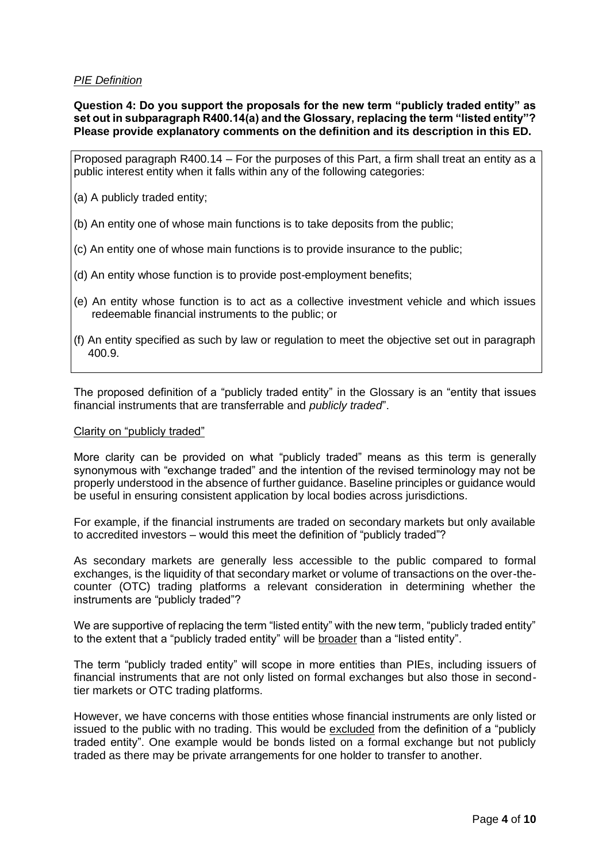#### *PIE Definition*

**Question 4: Do you support the proposals for the new term "publicly traded entity" as set out in subparagraph R400.14(a) and the Glossary, replacing the term "listed entity"? Please provide explanatory comments on the definition and its description in this ED.** 

Proposed paragraph R400.14 – For the purposes of this Part, a firm shall treat an entity as a public interest entity when it falls within any of the following categories:

(a) A publicly traded entity;

- (b) An entity one of whose main functions is to take deposits from the public;
- (c) An entity one of whose main functions is to provide insurance to the public;
- (d) An entity whose function is to provide post-employment benefits;
- (e) An entity whose function is to act as a collective investment vehicle and which issues redeemable financial instruments to the public; or
- (f) An entity specified as such by law or regulation to meet the objective set out in paragraph 400.9.

The proposed definition of a "publicly traded entity" in the Glossary is an "entity that issues financial instruments that are transferrable and *publicly traded*".

#### Clarity on "publicly traded"

More clarity can be provided on what "publicly traded" means as this term is generally synonymous with "exchange traded" and the intention of the revised terminology may not be properly understood in the absence of further guidance. Baseline principles or guidance would be useful in ensuring consistent application by local bodies across jurisdictions.

For example, if the financial instruments are traded on secondary markets but only available to accredited investors – would this meet the definition of "publicly traded"?

As secondary markets are generally less accessible to the public compared to formal exchanges, is the liquidity of that secondary market or volume of transactions on the over-thecounter (OTC) trading platforms a relevant consideration in determining whether the instruments are "publicly traded"?

We are supportive of replacing the term "listed entity" with the new term, "publicly traded entity" to the extent that a "publicly traded entity" will be broader than a "listed entity".

The term "publicly traded entity" will scope in more entities than PIEs, including issuers of financial instruments that are not only listed on formal exchanges but also those in secondtier markets or OTC trading platforms.

However, we have concerns with those entities whose financial instruments are only listed or issued to the public with no trading. This would be excluded from the definition of a "publicly traded entity". One example would be bonds listed on a formal exchange but not publicly traded as there may be private arrangements for one holder to transfer to another.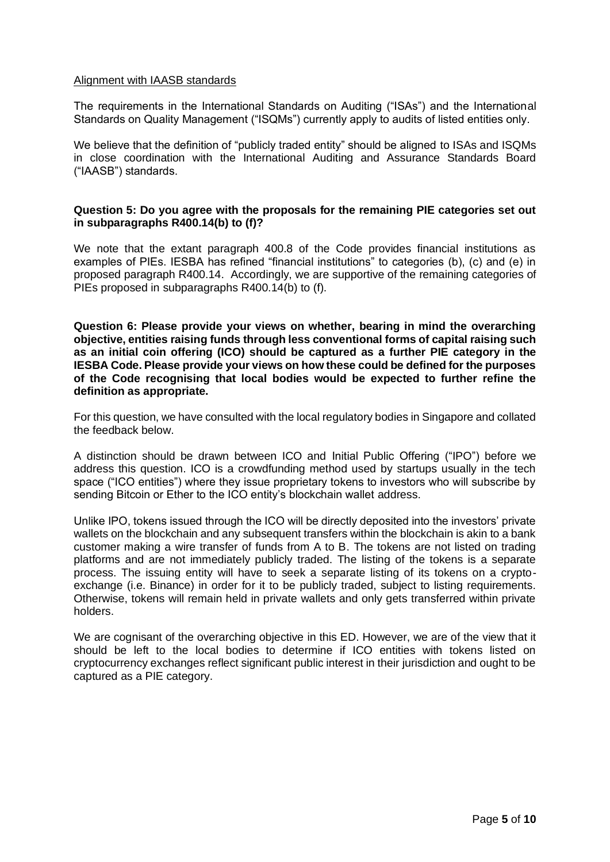#### Alignment with IAASB standards

The requirements in the International Standards on Auditing ("ISAs") and the International Standards on Quality Management ("ISQMs") currently apply to audits of listed entities only.

We believe that the definition of "publicly traded entity" should be aligned to ISAs and ISQMs in close coordination with the International Auditing and Assurance Standards Board ("IAASB") standards.

### **Question 5: Do you agree with the proposals for the remaining PIE categories set out in subparagraphs R400.14(b) to (f)?**

We note that the extant paragraph 400.8 of the Code provides financial institutions as examples of PIEs. IESBA has refined "financial institutions" to categories (b), (c) and (e) in proposed paragraph R400.14. Accordingly, we are supportive of the remaining categories of PIEs proposed in subparagraphs R400.14(b) to (f).

**Question 6: Please provide your views on whether, bearing in mind the overarching objective, entities raising funds through less conventional forms of capital raising such as an initial coin offering (ICO) should be captured as a further PIE category in the IESBA Code. Please provide your views on how these could be defined for the purposes of the Code recognising that local bodies would be expected to further refine the definition as appropriate.** 

For this question, we have consulted with the local regulatory bodies in Singapore and collated the feedback below.

A distinction should be drawn between ICO and Initial Public Offering ("IPO") before we address this question. ICO is a crowdfunding method used by startups usually in the tech space ("ICO entities") where they issue proprietary tokens to investors who will subscribe by sending Bitcoin or Ether to the ICO entity's blockchain wallet address.

Unlike IPO, tokens issued through the ICO will be directly deposited into the investors' private wallets on the blockchain and any subsequent transfers within the blockchain is akin to a bank customer making a wire transfer of funds from A to B. The tokens are not listed on trading platforms and are not immediately publicly traded. The listing of the tokens is a separate process. The issuing entity will have to seek a separate listing of its tokens on a cryptoexchange (i.e. Binance) in order for it to be publicly traded, subject to listing requirements. Otherwise, tokens will remain held in private wallets and only gets transferred within private holders.

We are cognisant of the overarching objective in this ED. However, we are of the view that it should be left to the local bodies to determine if ICO entities with tokens listed on cryptocurrency exchanges reflect significant public interest in their jurisdiction and ought to be captured as a PIE category.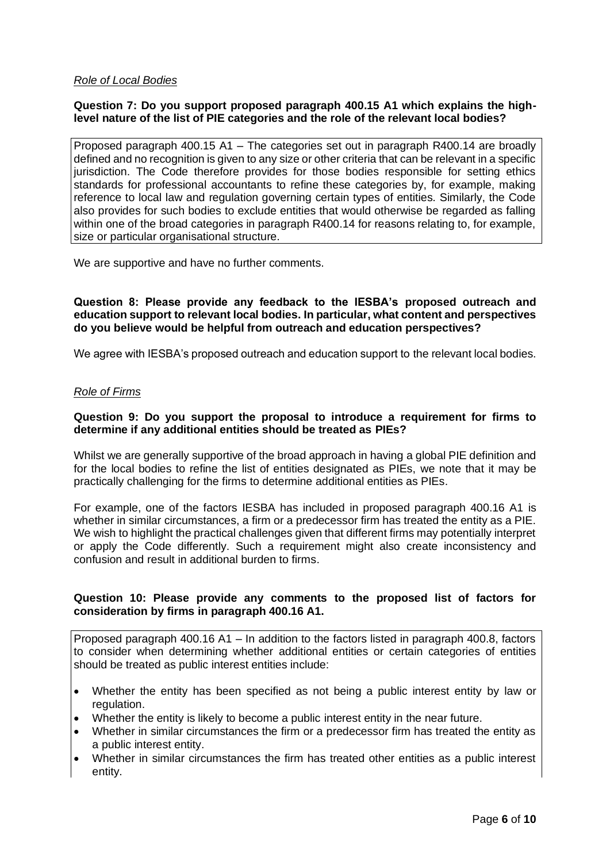### *Role of Local Bodies*

## **Question 7: Do you support proposed paragraph 400.15 A1 which explains the highlevel nature of the list of PIE categories and the role of the relevant local bodies?**

Proposed paragraph 400.15 A1 – The categories set out in paragraph R400.14 are broadly defined and no recognition is given to any size or other criteria that can be relevant in a specific jurisdiction. The Code therefore provides for those bodies responsible for setting ethics standards for professional accountants to refine these categories by, for example, making reference to local law and regulation governing certain types of entities. Similarly, the Code also provides for such bodies to exclude entities that would otherwise be regarded as falling within one of the broad categories in paragraph R400.14 for reasons relating to, for example, size or particular organisational structure.

We are supportive and have no further comments.

**Question 8: Please provide any feedback to the IESBA's proposed outreach and education support to relevant local bodies. In particular, what content and perspectives do you believe would be helpful from outreach and education perspectives?**

We agree with IESBA's proposed outreach and education support to the relevant local bodies.

### *Role of Firms*

### **Question 9: Do you support the proposal to introduce a requirement for firms to determine if any additional entities should be treated as PIEs?**

Whilst we are generally supportive of the broad approach in having a global PIE definition and for the local bodies to refine the list of entities designated as PIEs, we note that it may be practically challenging for the firms to determine additional entities as PIEs.

For example, one of the factors IESBA has included in proposed paragraph 400.16 A1 is whether in similar circumstances, a firm or a predecessor firm has treated the entity as a PIE. We wish to highlight the practical challenges given that different firms may potentially interpret or apply the Code differently. Such a requirement might also create inconsistency and confusion and result in additional burden to firms.

### **Question 10: Please provide any comments to the proposed list of factors for consideration by firms in paragraph 400.16 A1.**

Proposed paragraph 400.16 A1 – In addition to the factors listed in paragraph 400.8, factors to consider when determining whether additional entities or certain categories of entities should be treated as public interest entities include:

- Whether the entity has been specified as not being a public interest entity by law or regulation.
- Whether the entity is likely to become a public interest entity in the near future.
- Whether in similar circumstances the firm or a predecessor firm has treated the entity as a public interest entity.
- Whether in similar circumstances the firm has treated other entities as a public interest entity.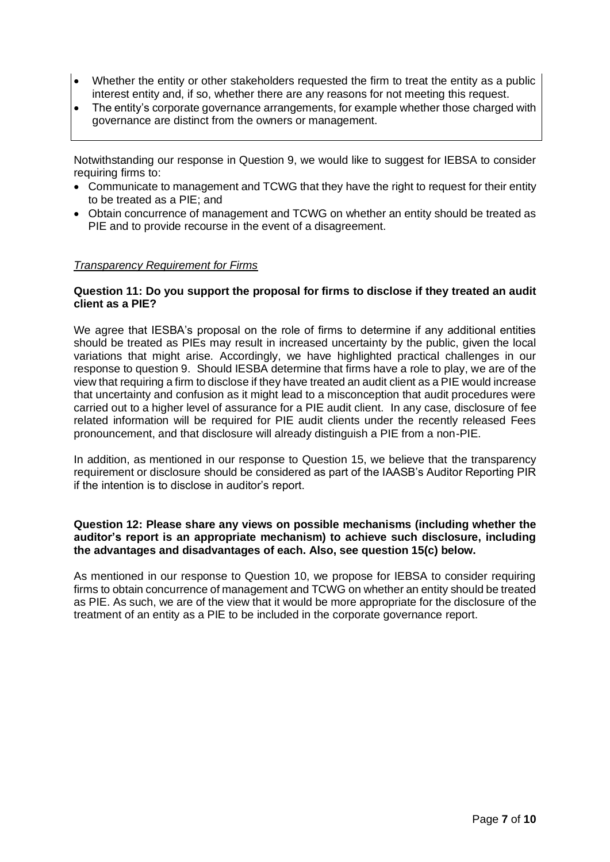- Whether the entity or other stakeholders requested the firm to treat the entity as a public interest entity and, if so, whether there are any reasons for not meeting this request.
- The entity's corporate governance arrangements, for example whether those charged with governance are distinct from the owners or management.

Notwithstanding our response in Question 9, we would like to suggest for IEBSA to consider requiring firms to:

- Communicate to management and TCWG that they have the right to request for their entity to be treated as a PIE; and
- Obtain concurrence of management and TCWG on whether an entity should be treated as PIE and to provide recourse in the event of a disagreement.

#### *Transparency Requirement for Firms*

#### **Question 11: Do you support the proposal for firms to disclose if they treated an audit client as a PIE?**

We agree that IESBA's proposal on the role of firms to determine if any additional entities should be treated as PIEs may result in increased uncertainty by the public, given the local variations that might arise. Accordingly, we have highlighted practical challenges in our response to question 9. Should IESBA determine that firms have a role to play, we are of the view that requiring a firm to disclose if they have treated an audit client as a PIE would increase that uncertainty and confusion as it might lead to a misconception that audit procedures were carried out to a higher level of assurance for a PIE audit client. In any case, disclosure of fee related information will be required for PIE audit clients under the recently released Fees pronouncement, and that disclosure will already distinguish a PIE from a non-PIE.

In addition, as mentioned in our response to Question 15, we believe that the transparency requirement or disclosure should be considered as part of the IAASB's Auditor Reporting PIR if the intention is to disclose in auditor's report.

## **Question 12: Please share any views on possible mechanisms (including whether the auditor's report is an appropriate mechanism) to achieve such disclosure, including the advantages and disadvantages of each. Also, see question 15(c) below.**

As mentioned in our response to Question 10, we propose for IEBSA to consider requiring firms to obtain concurrence of management and TCWG on whether an entity should be treated as PIE. As such, we are of the view that it would be more appropriate for the disclosure of the treatment of an entity as a PIE to be included in the corporate governance report.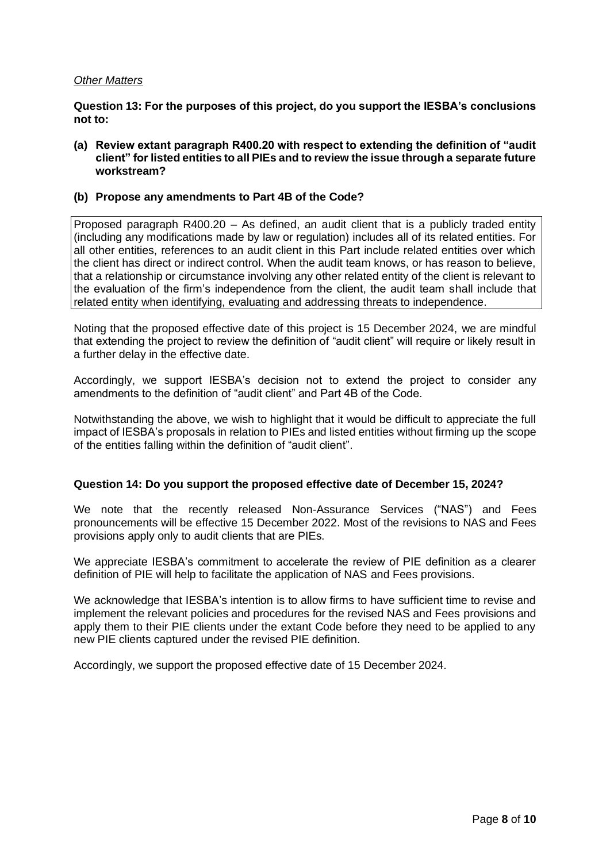#### *Other Matters*

**Question 13: For the purposes of this project, do you support the IESBA's conclusions not to:**

**(a) Review extant paragraph R400.20 with respect to extending the definition of "audit client" for listed entities to all PIEs and to review the issue through a separate future workstream?**

### **(b) Propose any amendments to Part 4B of the Code?**

Proposed paragraph R400.20 – As defined, an audit client that is a publicly traded entity (including any modifications made by law or regulation) includes all of its related entities. For all other entities, references to an audit client in this Part include related entities over which the client has direct or indirect control. When the audit team knows, or has reason to believe, that a relationship or circumstance involving any other related entity of the client is relevant to the evaluation of the firm's independence from the client, the audit team shall include that related entity when identifying, evaluating and addressing threats to independence.

Noting that the proposed effective date of this project is 15 December 2024, we are mindful that extending the project to review the definition of "audit client" will require or likely result in a further delay in the effective date.

Accordingly, we support IESBA's decision not to extend the project to consider any amendments to the definition of "audit client" and Part 4B of the Code.

Notwithstanding the above, we wish to highlight that it would be difficult to appreciate the full impact of IESBA's proposals in relation to PIEs and listed entities without firming up the scope of the entities falling within the definition of "audit client".

# **Question 14: Do you support the proposed effective date of December 15, 2024?**

We note that the recently released Non-Assurance Services ("NAS") and Fees pronouncements will be effective 15 December 2022. Most of the revisions to NAS and Fees provisions apply only to audit clients that are PIEs.

We appreciate IESBA's commitment to accelerate the review of PIE definition as a clearer definition of PIE will help to facilitate the application of NAS and Fees provisions.

We acknowledge that IESBA's intention is to allow firms to have sufficient time to revise and implement the relevant policies and procedures for the revised NAS and Fees provisions and apply them to their PIE clients under the extant Code before they need to be applied to any new PIE clients captured under the revised PIE definition.

Accordingly, we support the proposed effective date of 15 December 2024.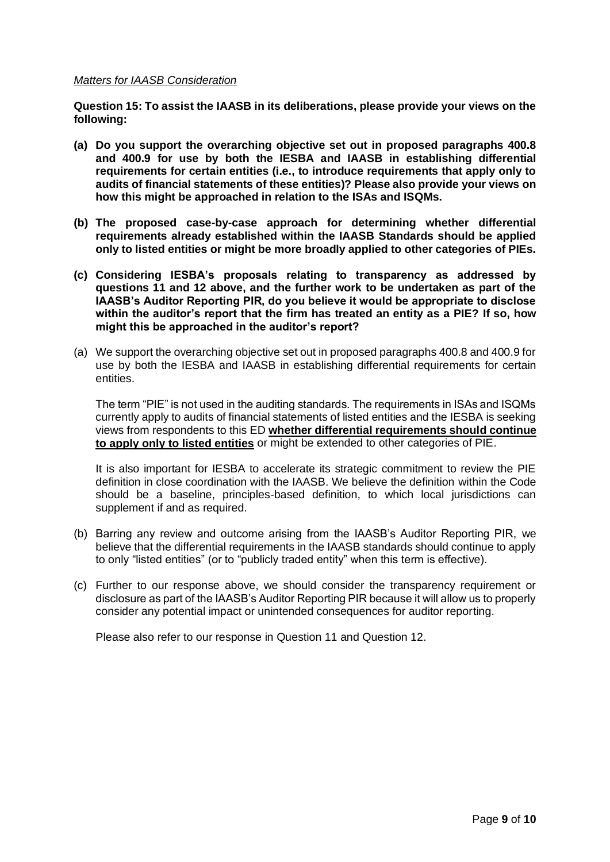#### *Matters for IAASB Consideration*

**Question 15: To assist the IAASB in its deliberations, please provide your views on the following:**

- **(a) Do you support the overarching objective set out in proposed paragraphs 400.8 and 400.9 for use by both the IESBA and IAASB in establishing differential requirements for certain entities (i.e., to introduce requirements that apply only to audits of financial statements of these entities)? Please also provide your views on how this might be approached in relation to the ISAs and ISQMs.**
- **(b) The proposed case-by-case approach for determining whether differential requirements already established within the IAASB Standards should be applied only to listed entities or might be more broadly applied to other categories of PIEs.**
- **(c) Considering IESBA's proposals relating to transparency as addressed by questions 11 and 12 above, and the further work to be undertaken as part of the IAASB's Auditor Reporting PIR, do you believe it would be appropriate to disclose within the auditor's report that the firm has treated an entity as a PIE? If so, how might this be approached in the auditor's report?**
- (a) We support the overarching objective set out in proposed paragraphs 400.8 and 400.9 for use by both the IESBA and IAASB in establishing differential requirements for certain entities.

The term "PIE" is not used in the auditing standards. The requirements in ISAs and ISQMs currently apply to audits of financial statements of listed entities and the IESBA is seeking views from respondents to this ED **whether differential requirements should continue to apply only to listed entities** or might be extended to other categories of PIE.

It is also important for IESBA to accelerate its strategic commitment to review the PIE definition in close coordination with the IAASB. We believe the definition within the Code should be a baseline, principles-based definition, to which local jurisdictions can supplement if and as required.

- (b) Barring any review and outcome arising from the IAASB's Auditor Reporting PIR, we believe that the differential requirements in the IAASB standards should continue to apply to only "listed entities" (or to "publicly traded entity" when this term is effective).
- (c) Further to our response above, we should consider the transparency requirement or disclosure as part of the IAASB's Auditor Reporting PIR because it will allow us to properly consider any potential impact or unintended consequences for auditor reporting.

Please also refer to our response in Question 11 and Question 12.